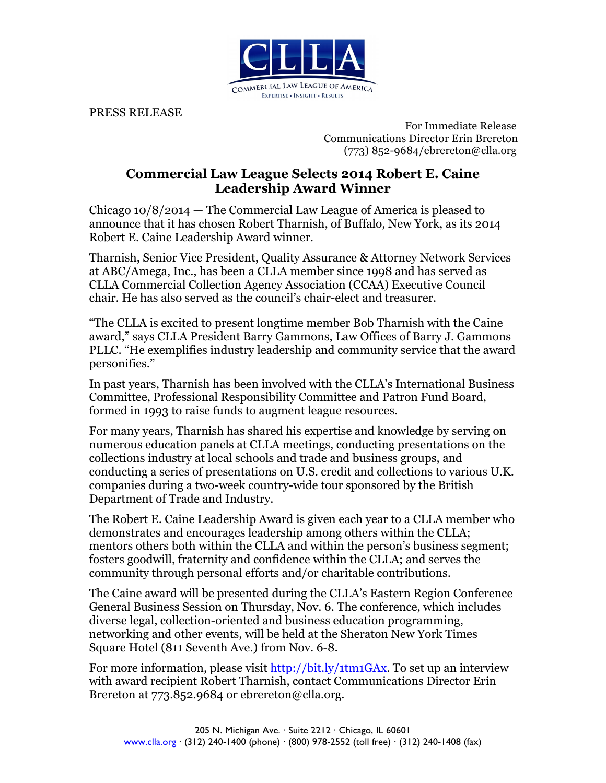

PRESS RELEASE

 For Immediate Release Communications Director Erin Brereton (773) 852-9684/ebrereton@clla.org

## **Commercial Law League Selects 2014 Robert E. Caine Leadership Award Winner**

Chicago 10/8/2014 — The Commercial Law League of America is pleased to announce that it has chosen Robert Tharnish, of Buffalo, New York, as its 2014 Robert E. Caine Leadership Award winner.

Tharnish, Senior Vice President, Quality Assurance & Attorney Network Services at ABC/Amega, Inc., has been a CLLA member since 1998 and has served as CLLA Commercial Collection Agency Association (CCAA) Executive Council chair. He has also served as the council's chair-elect and treasurer.

"The CLLA is excited to present longtime member Bob Tharnish with the Caine award," says CLLA President Barry Gammons, Law Offices of Barry J. Gammons PLLC. "He exemplifies industry leadership and community service that the award personifies."

In past years, Tharnish has been involved with the CLLA's International Business Committee, Professional Responsibility Committee and Patron Fund Board, formed in 1993 to raise funds to augment league resources.

For many years, Tharnish has shared his expertise and knowledge by serving on numerous education panels at CLLA meetings, conducting presentations on the collections industry at local schools and trade and business groups, and conducting a series of presentations on U.S. credit and collections to various U.K. companies during a two-week country-wide tour sponsored by the British Department of Trade and Industry.

The Robert E. Caine Leadership Award is given each year to a CLLA member who demonstrates and encourages leadership among others within the CLLA; mentors others both within the CLLA and within the person's business segment; fosters goodwill, fraternity and confidence within the CLLA; and serves the community through personal efforts and/or charitable contributions.

The Caine award will be presented during the CLLA's Eastern Region Conference General Business Session on Thursday, Nov. 6. The conference, which includes diverse legal, collection-oriented and business education programming, networking and other events, will be held at the Sheraton New York Times Square Hotel (811 Seventh Ave.) from Nov. 6-8.

For more information, please visit http://bit.ly/1tm1GAx. To set up an interview with award recipient Robert Tharnish, contact Communications Director Erin Brereton at 773.852.9684 or ebrereton@clla.org.